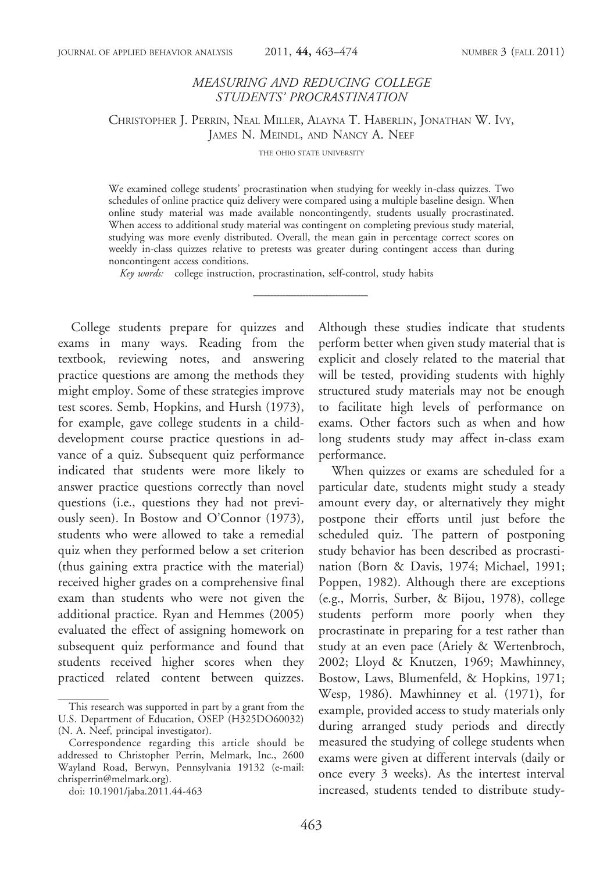# MEASURING AND REDUCING COLLEGE STUDENTS' PROCRASTINATION

CHRISTOPHER J. PERRIN, NEAL MILLER, ALAYNA T. HABERLIN, JONATHAN W. IVY, JAMES N. MEINDL, AND NANCY A. NEEF

THE OHIO STATE UNIVERSITY

We examined college students' procrastination when studying for weekly in-class quizzes. Two schedules of online practice quiz delivery were compared using a multiple baseline design. When online study material was made available noncontingently, students usually procrastinated. When access to additional study material was contingent on completing previous study material, studying was more evenly distributed. Overall, the mean gain in percentage correct scores on weekly in-class quizzes relative to pretests was greater during contingent access than during noncontingent access conditions.

Key words: college instruction, procrastination, self-control, study habits

College students prepare for quizzes and exams in many ways. Reading from the textbook, reviewing notes, and answering practice questions are among the methods they might employ. Some of these strategies improve test scores. Semb, Hopkins, and Hursh (1973), for example, gave college students in a childdevelopment course practice questions in advance of a quiz. Subsequent quiz performance indicated that students were more likely to answer practice questions correctly than novel questions (i.e., questions they had not previously seen). In Bostow and O'Connor (1973), students who were allowed to take a remedial quiz when they performed below a set criterion (thus gaining extra practice with the material) received higher grades on a comprehensive final exam than students who were not given the additional practice. Ryan and Hemmes (2005) evaluated the effect of assigning homework on subsequent quiz performance and found that students received higher scores when they practiced related content between quizzes.

Although these studies indicate that students perform better when given study material that is explicit and closely related to the material that will be tested, providing students with highly structured study materials may not be enough to facilitate high levels of performance on exams. Other factors such as when and how long students study may affect in-class exam performance.

When quizzes or exams are scheduled for a particular date, students might study a steady amount every day, or alternatively they might postpone their efforts until just before the scheduled quiz. The pattern of postponing study behavior has been described as procrastination (Born & Davis, 1974; Michael, 1991; Poppen, 1982). Although there are exceptions (e.g., Morris, Surber, & Bijou, 1978), college students perform more poorly when they procrastinate in preparing for a test rather than study at an even pace (Ariely & Wertenbroch, 2002; Lloyd & Knutzen, 1969; Mawhinney, Bostow, Laws, Blumenfeld, & Hopkins, 1971; Wesp, 1986). Mawhinney et al. (1971), for example, provided access to study materials only during arranged study periods and directly measured the studying of college students when exams were given at different intervals (daily or once every 3 weeks). As the intertest interval increased, students tended to distribute study-

This research was supported in part by a grant from the U.S. Department of Education, OSEP (H325DO60032) (N. A. Neef, principal investigator).

Correspondence regarding this article should be addressed to Christopher Perrin, Melmark, Inc., 2600 Wayland Road, Berwyn, Pennsylvania 19132 (e-mail: chrisperrin@melmark.org).

doi: 10.1901/jaba.2011.44-463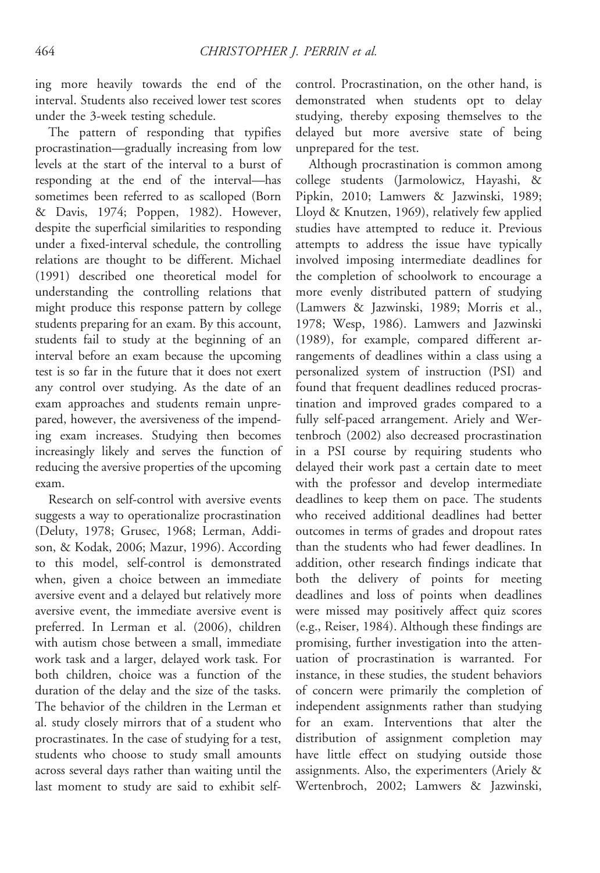ing more heavily towards the end of the interval. Students also received lower test scores under the 3-week testing schedule.

The pattern of responding that typifies procrastination—gradually increasing from low levels at the start of the interval to a burst of responding at the end of the interval—has sometimes been referred to as scalloped (Born & Davis, 1974; Poppen, 1982). However, despite the superficial similarities to responding under a fixed-interval schedule, the controlling relations are thought to be different. Michael (1991) described one theoretical model for understanding the controlling relations that might produce this response pattern by college students preparing for an exam. By this account, students fail to study at the beginning of an interval before an exam because the upcoming test is so far in the future that it does not exert any control over studying. As the date of an exam approaches and students remain unprepared, however, the aversiveness of the impending exam increases. Studying then becomes increasingly likely and serves the function of reducing the aversive properties of the upcoming exam.

Research on self-control with aversive events suggests a way to operationalize procrastination (Deluty, 1978; Grusec, 1968; Lerman, Addison, & Kodak, 2006; Mazur, 1996). According to this model, self-control is demonstrated when, given a choice between an immediate aversive event and a delayed but relatively more aversive event, the immediate aversive event is preferred. In Lerman et al. (2006), children with autism chose between a small, immediate work task and a larger, delayed work task. For both children, choice was a function of the duration of the delay and the size of the tasks. The behavior of the children in the Lerman et al. study closely mirrors that of a student who procrastinates. In the case of studying for a test, students who choose to study small amounts across several days rather than waiting until the last moment to study are said to exhibit selfcontrol. Procrastination, on the other hand, is demonstrated when students opt to delay studying, thereby exposing themselves to the delayed but more aversive state of being unprepared for the test.

Although procrastination is common among college students (Jarmolowicz, Hayashi, & Pipkin, 2010; Lamwers & Jazwinski, 1989; Lloyd & Knutzen, 1969), relatively few applied studies have attempted to reduce it. Previous attempts to address the issue have typically involved imposing intermediate deadlines for the completion of schoolwork to encourage a more evenly distributed pattern of studying (Lamwers & Jazwinski, 1989; Morris et al., 1978; Wesp, 1986). Lamwers and Jazwinski (1989), for example, compared different arrangements of deadlines within a class using a personalized system of instruction (PSI) and found that frequent deadlines reduced procrastination and improved grades compared to a fully self-paced arrangement. Ariely and Wertenbroch (2002) also decreased procrastination in a PSI course by requiring students who delayed their work past a certain date to meet with the professor and develop intermediate deadlines to keep them on pace. The students who received additional deadlines had better outcomes in terms of grades and dropout rates than the students who had fewer deadlines. In addition, other research findings indicate that both the delivery of points for meeting deadlines and loss of points when deadlines were missed may positively affect quiz scores (e.g., Reiser, 1984). Although these findings are promising, further investigation into the attenuation of procrastination is warranted. For instance, in these studies, the student behaviors of concern were primarily the completion of independent assignments rather than studying for an exam. Interventions that alter the distribution of assignment completion may have little effect on studying outside those assignments. Also, the experimenters (Ariely & Wertenbroch, 2002; Lamwers & Jazwinski,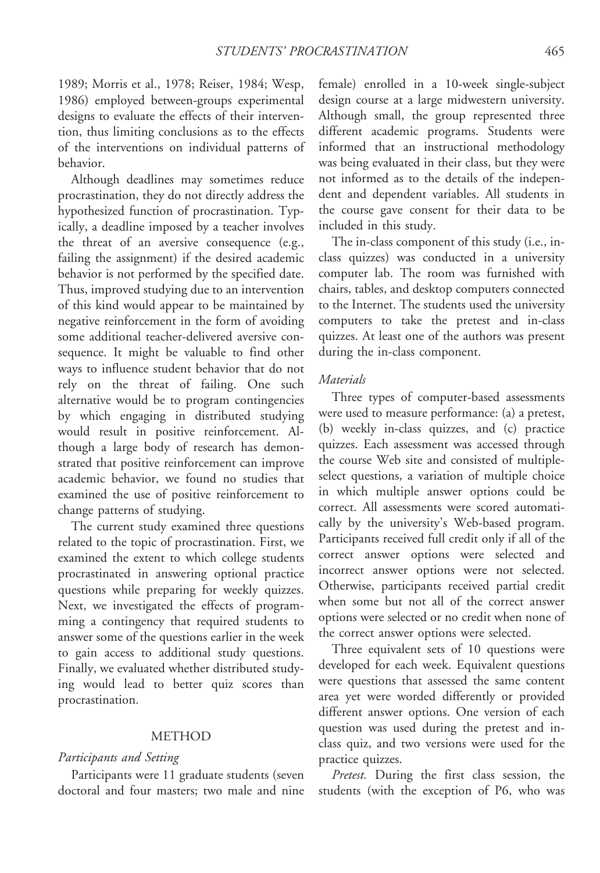1989; Morris et al., 1978; Reiser, 1984; Wesp, 1986) employed between-groups experimental designs to evaluate the effects of their intervention, thus limiting conclusions as to the effects of the interventions on individual patterns of behavior.

Although deadlines may sometimes reduce procrastination, they do not directly address the hypothesized function of procrastination. Typically, a deadline imposed by a teacher involves the threat of an aversive consequence (e.g., failing the assignment) if the desired academic behavior is not performed by the specified date. Thus, improved studying due to an intervention of this kind would appear to be maintained by negative reinforcement in the form of avoiding some additional teacher-delivered aversive consequence. It might be valuable to find other ways to influence student behavior that do not rely on the threat of failing. One such alternative would be to program contingencies by which engaging in distributed studying would result in positive reinforcement. Although a large body of research has demonstrated that positive reinforcement can improve academic behavior, we found no studies that examined the use of positive reinforcement to change patterns of studying.

The current study examined three questions related to the topic of procrastination. First, we examined the extent to which college students procrastinated in answering optional practice questions while preparing for weekly quizzes. Next, we investigated the effects of programming a contingency that required students to answer some of the questions earlier in the week to gain access to additional study questions. Finally, we evaluated whether distributed studying would lead to better quiz scores than procrastination.

#### **METHOD**

#### Participants and Setting

Participants were 11 graduate students (seven doctoral and four masters; two male and nine

female) enrolled in a 10-week single-subject design course at a large midwestern university. Although small, the group represented three different academic programs. Students were informed that an instructional methodology was being evaluated in their class, but they were not informed as to the details of the independent and dependent variables. All students in the course gave consent for their data to be included in this study.

The in-class component of this study (i.e., inclass quizzes) was conducted in a university computer lab. The room was furnished with chairs, tables, and desktop computers connected to the Internet. The students used the university computers to take the pretest and in-class quizzes. At least one of the authors was present during the in-class component.

#### Materials

Three types of computer-based assessments were used to measure performance: (a) a pretest, (b) weekly in-class quizzes, and (c) practice quizzes. Each assessment was accessed through the course Web site and consisted of multipleselect questions, a variation of multiple choice in which multiple answer options could be correct. All assessments were scored automatically by the university's Web-based program. Participants received full credit only if all of the correct answer options were selected and incorrect answer options were not selected. Otherwise, participants received partial credit when some but not all of the correct answer options were selected or no credit when none of the correct answer options were selected.

Three equivalent sets of 10 questions were developed for each week. Equivalent questions were questions that assessed the same content area yet were worded differently or provided different answer options. One version of each question was used during the pretest and inclass quiz, and two versions were used for the practice quizzes.

Pretest. During the first class session, the students (with the exception of P6, who was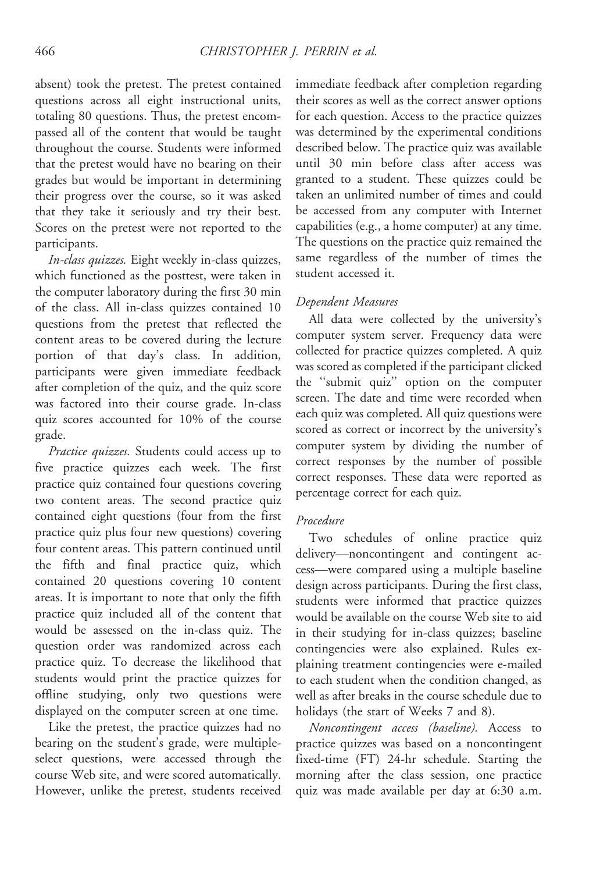absent) took the pretest. The pretest contained questions across all eight instructional units, totaling 80 questions. Thus, the pretest encompassed all of the content that would be taught throughout the course. Students were informed that the pretest would have no bearing on their grades but would be important in determining their progress over the course, so it was asked that they take it seriously and try their best. Scores on the pretest were not reported to the participants.

In-class quizzes. Eight weekly in-class quizzes, which functioned as the posttest, were taken in the computer laboratory during the first 30 min of the class. All in-class quizzes contained 10 questions from the pretest that reflected the content areas to be covered during the lecture portion of that day's class. In addition, participants were given immediate feedback after completion of the quiz, and the quiz score was factored into their course grade. In-class quiz scores accounted for 10% of the course grade.

Practice quizzes. Students could access up to five practice quizzes each week. The first practice quiz contained four questions covering two content areas. The second practice quiz contained eight questions (four from the first practice quiz plus four new questions) covering four content areas. This pattern continued until the fifth and final practice quiz, which contained 20 questions covering 10 content areas. It is important to note that only the fifth practice quiz included all of the content that would be assessed on the in-class quiz. The question order was randomized across each practice quiz. To decrease the likelihood that students would print the practice quizzes for offline studying, only two questions were displayed on the computer screen at one time.

Like the pretest, the practice quizzes had no bearing on the student's grade, were multipleselect questions, were accessed through the course Web site, and were scored automatically. However, unlike the pretest, students received

immediate feedback after completion regarding their scores as well as the correct answer options for each question. Access to the practice quizzes was determined by the experimental conditions described below. The practice quiz was available until 30 min before class after access was granted to a student. These quizzes could be taken an unlimited number of times and could be accessed from any computer with Internet capabilities (e.g., a home computer) at any time. The questions on the practice quiz remained the same regardless of the number of times the student accessed it.

# Dependent Measures

All data were collected by the university's computer system server. Frequency data were collected for practice quizzes completed. A quiz was scored as completed if the participant clicked the ''submit quiz'' option on the computer screen. The date and time were recorded when each quiz was completed. All quiz questions were scored as correct or incorrect by the university's computer system by dividing the number of correct responses by the number of possible correct responses. These data were reported as percentage correct for each quiz.

# Procedure

Two schedules of online practice quiz delivery—noncontingent and contingent access—were compared using a multiple baseline design across participants. During the first class, students were informed that practice quizzes would be available on the course Web site to aid in their studying for in-class quizzes; baseline contingencies were also explained. Rules explaining treatment contingencies were e-mailed to each student when the condition changed, as well as after breaks in the course schedule due to holidays (the start of Weeks 7 and 8).

Noncontingent access (baseline). Access to practice quizzes was based on a noncontingent fixed-time (FT) 24-hr schedule. Starting the morning after the class session, one practice quiz was made available per day at 6:30 a.m.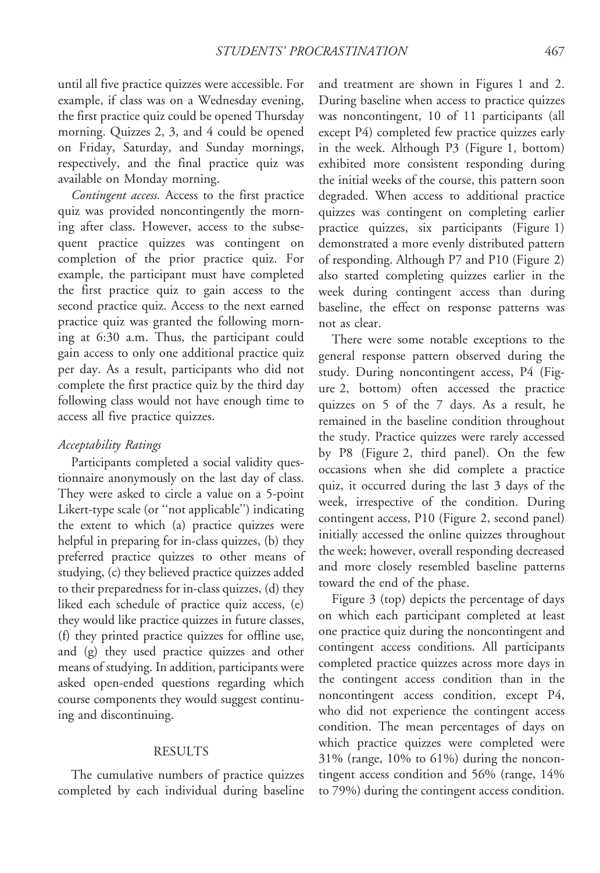until all five practice quizzes were accessible. For example, if class was on a Wednesday evening, the first practice quiz could be opened Thursday morning. Quizzes 2, 3, and 4 could be opened on Friday, Saturday, and Sunday mornings, respectively, and the final practice quiz was available on Monday morning.

Contingent access. Access to the first practice quiz was provided noncontingently the morning after class. However, access to the subsequent practice quizzes was contingent on completion of the prior practice quiz. For example, the participant must have completed the first practice quiz to gain access to the second practice quiz. Access to the next earned practice quiz was granted the following morning at 6:30 a.m. Thus, the participant could gain access to only one additional practice quiz per day. As a result, participants who did not complete the first practice quiz by the third day following class would not have enough time to access all five practice quizzes.

### Acceptability Ratings

Participants completed a social validity questionnaire anonymously on the last day of class. They were asked to circle a value on a 5-point Likert-type scale (or ''not applicable'') indicating the extent to which (a) practice quizzes were helpful in preparing for in-class quizzes, (b) they preferred practice quizzes to other means of studying, (c) they believed practice quizzes added to their preparedness for in-class quizzes, (d) they liked each schedule of practice quiz access, (e) they would like practice quizzes in future classes, (f) they printed practice quizzes for offline use, and (g) they used practice quizzes and other means of studying. In addition, participants were asked open-ended questions regarding which course components they would suggest continuing and discontinuing.

# RESULTS

The cumulative numbers of practice quizzes completed by each individual during baseline and treatment are shown in Figures 1 and 2. During baseline when access to practice quizzes was noncontingent, 10 of 11 participants (all except P4) completed few practice quizzes early in the week. Although P3 (Figure 1, bottom) exhibited more consistent responding during the initial weeks of the course, this pattern soon degraded. When access to additional practice quizzes was contingent on completing earlier practice quizzes, six participants (Figure 1) demonstrated a more evenly distributed pattern of responding. Although P7 and P10 (Figure 2) also started completing quizzes earlier in the week during contingent access than during baseline, the effect on response patterns was not as clear.

There were some notable exceptions to the general response pattern observed during the study. During noncontingent access, P4 (Figure 2, bottom) often accessed the practice quizzes on 5 of the 7 days. As a result, he remained in the baseline condition throughout the study. Practice quizzes were rarely accessed by P8 (Figure 2, third panel). On the few occasions when she did complete a practice quiz, it occurred during the last 3 days of the week, irrespective of the condition. During contingent access, P10 (Figure 2, second panel) initially accessed the online quizzes throughout the week; however, overall responding decreased and more closely resembled baseline patterns toward the end of the phase.

Figure 3 (top) depicts the percentage of days on which each participant completed at least one practice quiz during the noncontingent and contingent access conditions. All participants completed practice quizzes across more days in the contingent access condition than in the noncontingent access condition, except P4, who did not experience the contingent access condition. The mean percentages of days on which practice quizzes were completed were 31% (range, 10% to 61%) during the noncontingent access condition and 56% (range, 14% to 79%) during the contingent access condition.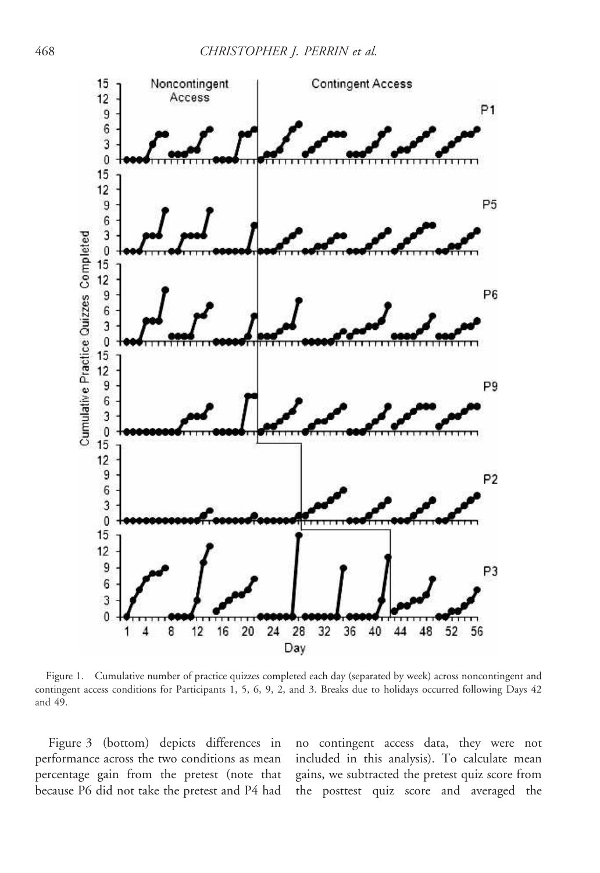

Figure 1. Cumulative number of practice quizzes completed each day (separated by week) across noncontingent and contingent access conditions for Participants 1, 5, 6, 9, 2, and 3. Breaks due to holidays occurred following Days 42 and 49.

Figure 3 (bottom) depicts differences in performance across the two conditions as mean percentage gain from the pretest (note that because P6 did not take the pretest and P4 had

no contingent access data, they were not included in this analysis). To calculate mean gains, we subtracted the pretest quiz score from the posttest quiz score and averaged the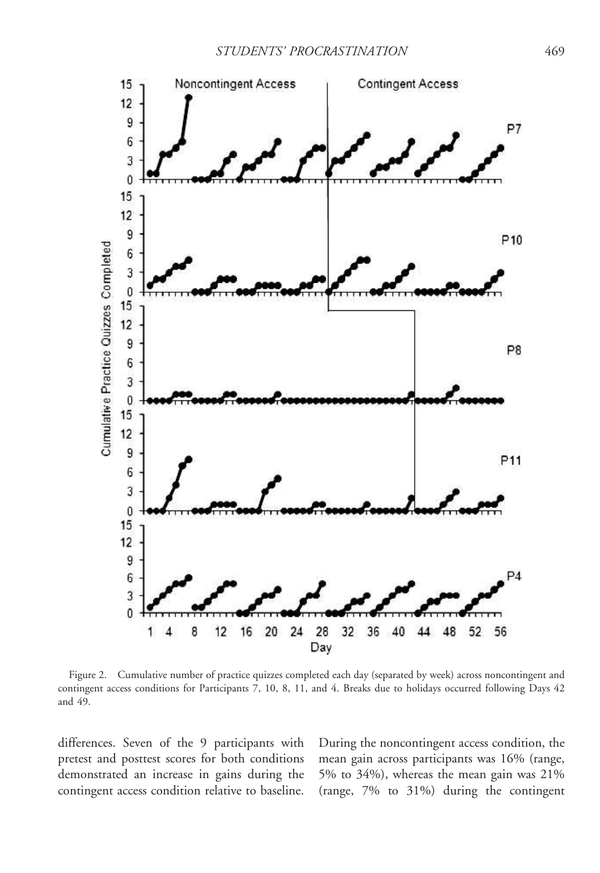

Figure 2. Cumulative number of practice quizzes completed each day (separated by week) across noncontingent and contingent access conditions for Participants 7, 10, 8, 11, and 4. Breaks due to holidays occurred following Days 42 and 49.

differences. Seven of the 9 participants with pretest and posttest scores for both conditions demonstrated an increase in gains during the contingent access condition relative to baseline. During the noncontingent access condition, the mean gain across participants was 16% (range, 5% to 34%), whereas the mean gain was 21% (range, 7% to 31%) during the contingent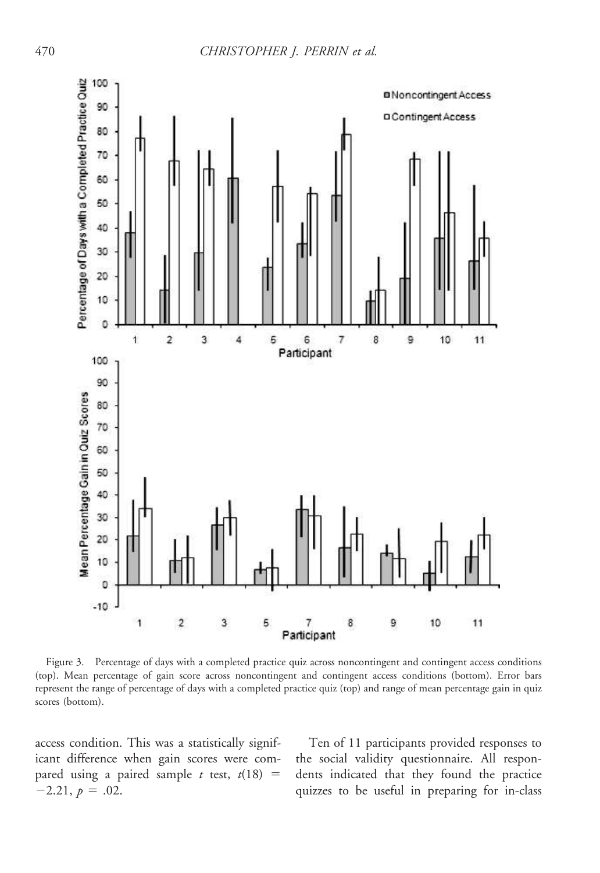

Figure 3. Percentage of days with a completed practice quiz across noncontingent and contingent access conditions (top). Mean percentage of gain score across noncontingent and contingent access conditions (bottom). Error bars represent the range of percentage of days with a completed practice quiz (top) and range of mean percentage gain in quiz scores (bottom).

access condition. This was a statistically significant difference when gain scores were compared using a paired sample t test,  $t(18) =$  $-2.21, p = .02.$ 

Ten of 11 participants provided responses to the social validity questionnaire. All respondents indicated that they found the practice quizzes to be useful in preparing for in-class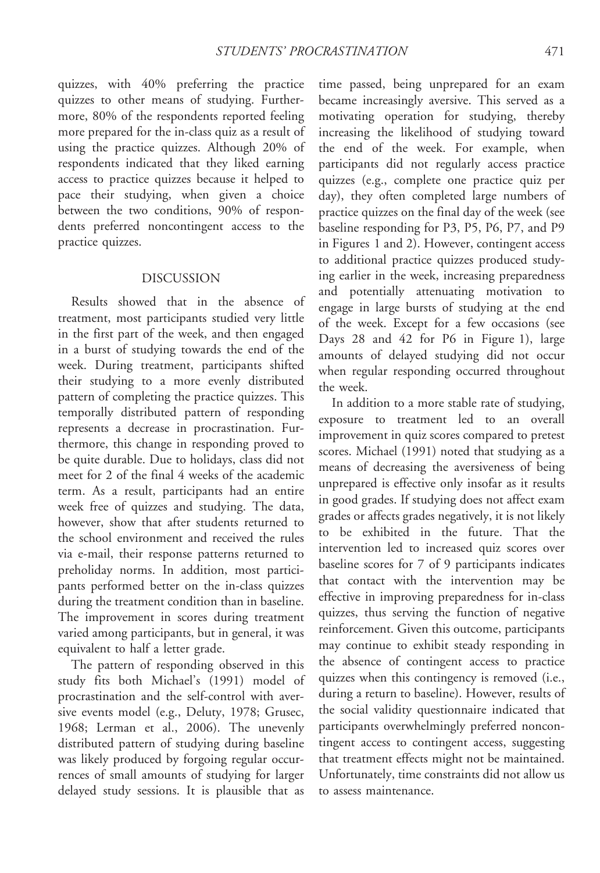quizzes, with 40% preferring the practice quizzes to other means of studying. Furthermore, 80% of the respondents reported feeling more prepared for the in-class quiz as a result of using the practice quizzes. Although 20% of respondents indicated that they liked earning access to practice quizzes because it helped to pace their studying, when given a choice between the two conditions, 90% of respondents preferred noncontingent access to the practice quizzes.

# DISCUSSION

Results showed that in the absence of treatment, most participants studied very little in the first part of the week, and then engaged in a burst of studying towards the end of the week. During treatment, participants shifted their studying to a more evenly distributed pattern of completing the practice quizzes. This temporally distributed pattern of responding represents a decrease in procrastination. Furthermore, this change in responding proved to be quite durable. Due to holidays, class did not meet for 2 of the final 4 weeks of the academic term. As a result, participants had an entire week free of quizzes and studying. The data, however, show that after students returned to the school environment and received the rules via e-mail, their response patterns returned to preholiday norms. In addition, most participants performed better on the in-class quizzes during the treatment condition than in baseline. The improvement in scores during treatment varied among participants, but in general, it was equivalent to half a letter grade.

The pattern of responding observed in this study fits both Michael's (1991) model of procrastination and the self-control with aversive events model (e.g., Deluty, 1978; Grusec, 1968; Lerman et al., 2006). The unevenly distributed pattern of studying during baseline was likely produced by forgoing regular occurrences of small amounts of studying for larger delayed study sessions. It is plausible that as

time passed, being unprepared for an exam became increasingly aversive. This served as a motivating operation for studying, thereby increasing the likelihood of studying toward the end of the week. For example, when participants did not regularly access practice quizzes (e.g., complete one practice quiz per day), they often completed large numbers of practice quizzes on the final day of the week (see baseline responding for P3, P5, P6, P7, and P9 in Figures 1 and 2). However, contingent access to additional practice quizzes produced studying earlier in the week, increasing preparedness and potentially attenuating motivation to engage in large bursts of studying at the end of the week. Except for a few occasions (see Days 28 and 42 for P6 in Figure 1), large amounts of delayed studying did not occur when regular responding occurred throughout the week.

In addition to a more stable rate of studying, exposure to treatment led to an overall improvement in quiz scores compared to pretest scores. Michael (1991) noted that studying as a means of decreasing the aversiveness of being unprepared is effective only insofar as it results in good grades. If studying does not affect exam grades or affects grades negatively, it is not likely to be exhibited in the future. That the intervention led to increased quiz scores over baseline scores for 7 of 9 participants indicates that contact with the intervention may be effective in improving preparedness for in-class quizzes, thus serving the function of negative reinforcement. Given this outcome, participants may continue to exhibit steady responding in the absence of contingent access to practice quizzes when this contingency is removed (i.e., during a return to baseline). However, results of the social validity questionnaire indicated that participants overwhelmingly preferred noncontingent access to contingent access, suggesting that treatment effects might not be maintained. Unfortunately, time constraints did not allow us to assess maintenance.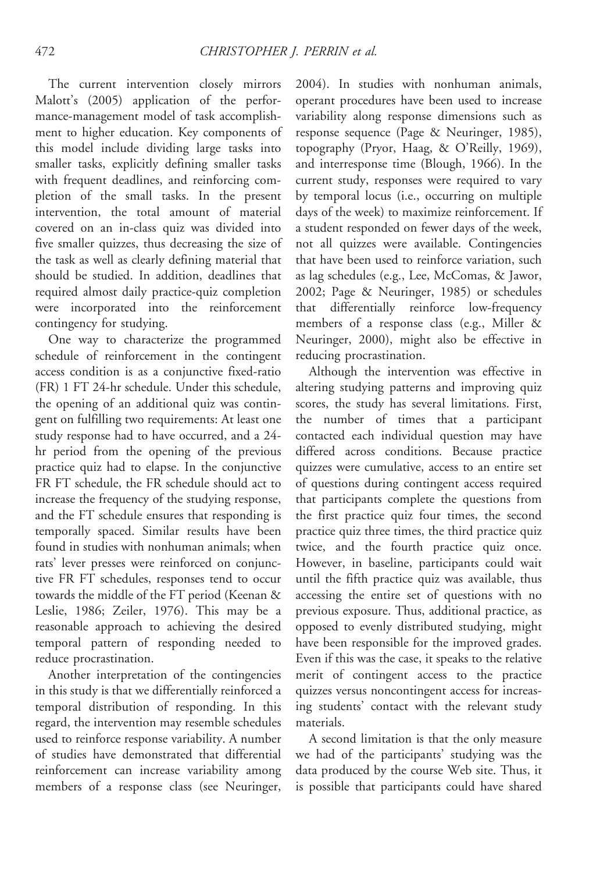The current intervention closely mirrors Malott's (2005) application of the performance-management model of task accomplishment to higher education. Key components of this model include dividing large tasks into smaller tasks, explicitly defining smaller tasks with frequent deadlines, and reinforcing completion of the small tasks. In the present intervention, the total amount of material covered on an in-class quiz was divided into five smaller quizzes, thus decreasing the size of the task as well as clearly defining material that should be studied. In addition, deadlines that required almost daily practice-quiz completion were incorporated into the reinforcement contingency for studying.

One way to characterize the programmed schedule of reinforcement in the contingent access condition is as a conjunctive fixed-ratio (FR) 1 FT 24-hr schedule. Under this schedule, the opening of an additional quiz was contingent on fulfilling two requirements: At least one study response had to have occurred, and a 24 hr period from the opening of the previous practice quiz had to elapse. In the conjunctive FR FT schedule, the FR schedule should act to increase the frequency of the studying response, and the FT schedule ensures that responding is temporally spaced. Similar results have been found in studies with nonhuman animals; when rats' lever presses were reinforced on conjunctive FR FT schedules, responses tend to occur towards the middle of the FT period (Keenan & Leslie, 1986; Zeiler, 1976). This may be a reasonable approach to achieving the desired temporal pattern of responding needed to reduce procrastination.

Another interpretation of the contingencies in this study is that we differentially reinforced a temporal distribution of responding. In this regard, the intervention may resemble schedules used to reinforce response variability. A number of studies have demonstrated that differential reinforcement can increase variability among members of a response class (see Neuringer,

2004). In studies with nonhuman animals, operant procedures have been used to increase variability along response dimensions such as response sequence (Page & Neuringer, 1985), topography (Pryor, Haag, & O'Reilly, 1969), and interresponse time (Blough, 1966). In the current study, responses were required to vary by temporal locus (i.e., occurring on multiple days of the week) to maximize reinforcement. If a student responded on fewer days of the week, not all quizzes were available. Contingencies that have been used to reinforce variation, such as lag schedules (e.g., Lee, McComas, & Jawor, 2002; Page & Neuringer, 1985) or schedules that differentially reinforce low-frequency members of a response class (e.g., Miller & Neuringer, 2000), might also be effective in reducing procrastination.

Although the intervention was effective in altering studying patterns and improving quiz scores, the study has several limitations. First, the number of times that a participant contacted each individual question may have differed across conditions. Because practice quizzes were cumulative, access to an entire set of questions during contingent access required that participants complete the questions from the first practice quiz four times, the second practice quiz three times, the third practice quiz twice, and the fourth practice quiz once. However, in baseline, participants could wait until the fifth practice quiz was available, thus accessing the entire set of questions with no previous exposure. Thus, additional practice, as opposed to evenly distributed studying, might have been responsible for the improved grades. Even if this was the case, it speaks to the relative merit of contingent access to the practice quizzes versus noncontingent access for increasing students' contact with the relevant study materials.

A second limitation is that the only measure we had of the participants' studying was the data produced by the course Web site. Thus, it is possible that participants could have shared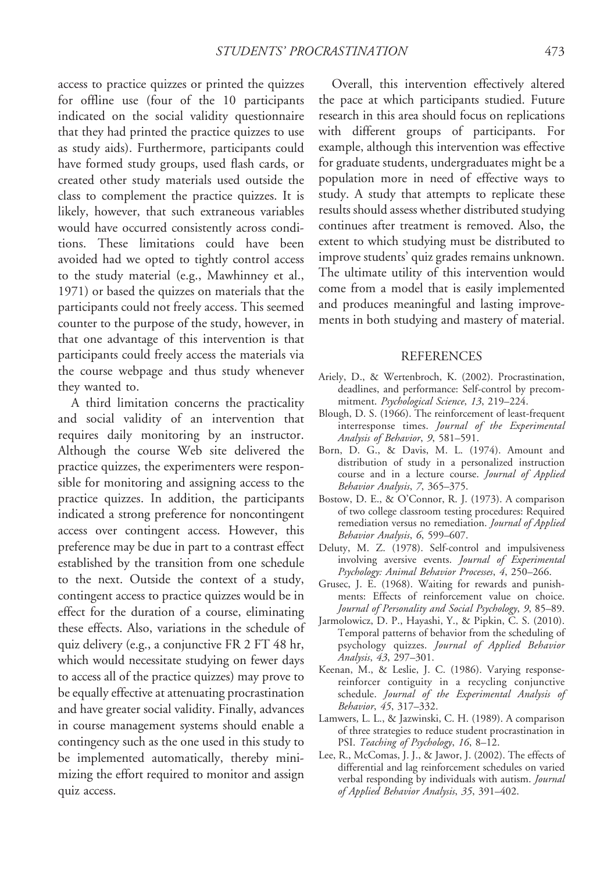access to practice quizzes or printed the quizzes for offline use (four of the 10 participants indicated on the social validity questionnaire that they had printed the practice quizzes to use as study aids). Furthermore, participants could have formed study groups, used flash cards, or created other study materials used outside the class to complement the practice quizzes. It is likely, however, that such extraneous variables would have occurred consistently across conditions. These limitations could have been avoided had we opted to tightly control access to the study material (e.g., Mawhinney et al., 1971) or based the quizzes on materials that the participants could not freely access. This seemed counter to the purpose of the study, however, in that one advantage of this intervention is that participants could freely access the materials via the course webpage and thus study whenever they wanted to.

A third limitation concerns the practicality and social validity of an intervention that requires daily monitoring by an instructor. Although the course Web site delivered the practice quizzes, the experimenters were responsible for monitoring and assigning access to the practice quizzes. In addition, the participants indicated a strong preference for noncontingent access over contingent access. However, this preference may be due in part to a contrast effect established by the transition from one schedule to the next. Outside the context of a study, contingent access to practice quizzes would be in effect for the duration of a course, eliminating these effects. Also, variations in the schedule of quiz delivery (e.g., a conjunctive FR 2 FT 48 hr, which would necessitate studying on fewer days to access all of the practice quizzes) may prove to be equally effective at attenuating procrastination and have greater social validity. Finally, advances in course management systems should enable a contingency such as the one used in this study to be implemented automatically, thereby minimizing the effort required to monitor and assign quiz access.

Overall, this intervention effectively altered the pace at which participants studied. Future research in this area should focus on replications with different groups of participants. For example, although this intervention was effective for graduate students, undergraduates might be a population more in need of effective ways to study. A study that attempts to replicate these results should assess whether distributed studying continues after treatment is removed. Also, the extent to which studying must be distributed to improve students' quiz grades remains unknown. The ultimate utility of this intervention would come from a model that is easily implemented and produces meaningful and lasting improvements in both studying and mastery of material.

# REFERENCES

- Ariely, D., & Wertenbroch, K. (2002). Procrastination, deadlines, and performance: Self-control by precommitment. Psychological Science, 13, 219–224.
- Blough, D. S. (1966). The reinforcement of least-frequent interresponse times. Journal of the Experimental Analysis of Behavior, 9, 581–591.
- Born, D. G., & Davis, M. L. (1974). Amount and distribution of study in a personalized instruction course and in a lecture course. Journal of Applied Behavior Analysis, 7, 365–375.
- Bostow, D. E., & O'Connor, R. J. (1973). A comparison of two college classroom testing procedures: Required remediation versus no remediation. Journal of Applied Behavior Analysis, 6, 599–607.
- Deluty, M. Z. (1978). Self-control and impulsiveness involving aversive events. Journal of Experimental Psychology: Animal Behavior Processes, 4, 250–266.
- Grusec, J. E. (1968). Waiting for rewards and punishments: Effects of reinforcement value on choice. Journal of Personality and Social Psychology, 9, 85–89.
- Jarmolowicz, D. P., Hayashi, Y., & Pipkin, C. S. (2010). Temporal patterns of behavior from the scheduling of psychology quizzes. Journal of Applied Behavior Analysis, 43, 297–301.
- Keenan, M., & Leslie, J. C. (1986). Varying responsereinforcer contiguity in a recycling conjunctive schedule. Journal of the Experimental Analysis of Behavior, 45, 317–332.
- Lamwers, L. L., & Jazwinski, C. H. (1989). A comparison of three strategies to reduce student procrastination in PSI. Teaching of Psychology, 16, 8-12.
- Lee, R., McComas, J. J., & Jawor, J. (2002). The effects of differential and lag reinforcement schedules on varied verbal responding by individuals with autism. Journal of Applied Behavior Analysis, 35, 391–402.